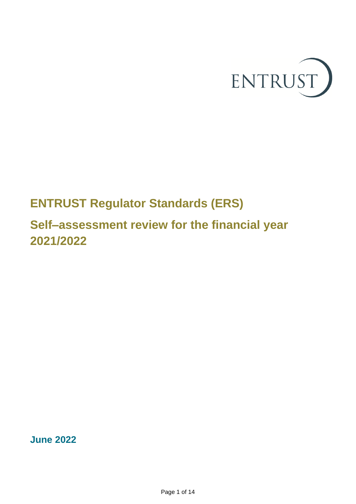

# **ENTRUST Regulator Standards (ERS)**

# **Self–assessment review for the financial year 2021/2022**

**June 2022**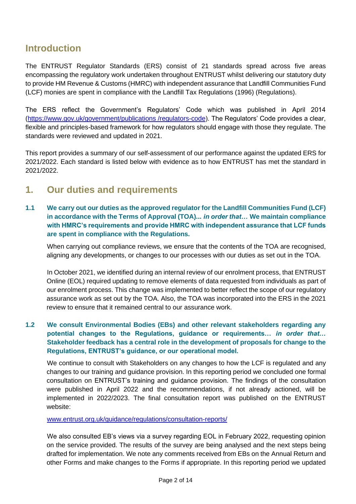### **Introduction**

The ENTRUST Regulator Standards (ERS) consist of 21 standards spread across five areas encompassing the regulatory work undertaken throughout ENTRUST whilst delivering our statutory duty to provide HM Revenue & Customs (HMRC) with independent assurance that Landfill Communities Fund (LCF) monies are spent in compliance with the Landfill Tax Regulations (1996) (Regulations).

The ERS reflect the Government's Regulators' Code which was published in April 2014 [\(https://www.gov.uk/government/publications /regulators-code\)](https://www.gov.uk/government/publications%20/regulators-code). The Regulators' Code provides a clear, flexible and principles-based framework for how regulators should engage with those they regulate. The standards were reviewed and updated in 2021.

This report provides a summary of our self-assessment of our performance against the updated ERS for 2021/2022. Each standard is listed below with evidence as to how ENTRUST has met the standard in 2021/2022.

## **1. Our duties and requirements**

**1.1 We carry out our duties as the approved regulator for the Landfill Communities Fund (LCF) in accordance with the Terms of Approval (TOA)...** *in order that…* **We maintain compliance with HMRC's requirements and provide HMRC with independent assurance that LCF funds are spent in compliance with the Regulations.**

When carrying out compliance reviews, we ensure that the contents of the TOA are recognised, aligning any developments, or changes to our processes with our duties as set out in the TOA.

In October 2021, we identified during an internal review of our enrolment process, that ENTRUST Online (EOL) required updating to remove elements of data requested from individuals as part of our enrolment process. This change was implemented to better reflect the scope of our regulatory assurance work as set out by the TOA. Also, the TOA was incorporated into the ERS in the 2021 review to ensure that it remained central to our assurance work.

#### **1.2 We consult Environmental Bodies (EBs) and other relevant stakeholders regarding any potential changes to the Regulations, guidance or requirements…** *in order that…* **Stakeholder feedback has a central role in the development of proposals for change to the Regulations, ENTRUST's guidance, or our operational model.**

We continue to consult with Stakeholders on any changes to how the LCF is regulated and any changes to our training and guidance provision. In this reporting period we concluded one formal consultation on ENTRUST's training and guidance provision. The findings of the consultation were published in April 2022 and the recommendations, if not already actioned, will be implemented in 2022/2023. The final consultation report was published on the ENTRUST website:

[www.entrust.org.uk/guidance/regulations/consultation-reports/](http://www.entrust.org.uk/guidance/regulations/consultation-reports/)

We also consulted EB's views via a survey regarding EOL in February 2022, requesting opinion on the service provided. The results of the survey are being analysed and the next steps being drafted for implementation. We note any comments received from EBs on the Annual Return and other Forms and make changes to the Forms if appropriate. In this reporting period we updated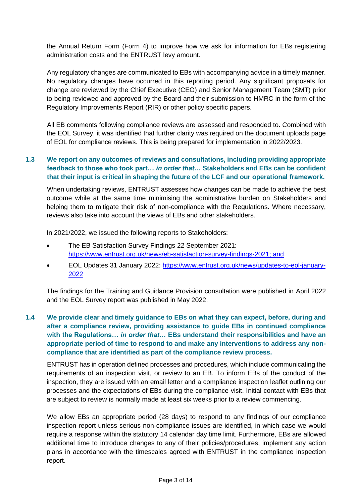the Annual Return Form (Form 4) to improve how we ask for information for EBs registering administration costs and the ENTRUST levy amount.

Any regulatory changes are communicated to EBs with accompanying advice in a timely manner. No regulatory changes have occurred in this reporting period. Any significant proposals for change are reviewed by the Chief Executive (CEO) and Senior Management Team (SMT) prior to being reviewed and approved by the Board and their submission to HMRC in the form of the Regulatory Improvements Report (RIR) or other policy specific papers.

All EB comments following compliance reviews are assessed and responded to. Combined with the EOL Survey, it was identified that further clarity was required on the document uploads page of EOL for compliance reviews. This is being prepared for implementation in 2022/2023.

#### **1.3 We report on any outcomes of reviews and consultations, including providing appropriate feedback to those who took part…** *in order that…* **Stakeholders and EBs can be confident that their input is critical in shaping the future of the LCF and our operational framework.**

When undertaking reviews, ENTRUST assesses how changes can be made to achieve the best outcome while at the same time minimising the administrative burden on Stakeholders and helping them to mitigate their risk of non-compliance with the Regulations. Where necessary, reviews also take into account the views of EBs and other stakeholders.

In 2021/2022, we issued the following reports to Stakeholders:

- The EB Satisfaction Survey Findings 22 September 2021: [https://www.entrust.org.uk/news/eb-satisfaction-survey-findings-2021;](https://www.entrust.org.uk/news/eb-satisfaction-survey-findings-2021) and
- EOL Updates 31 January 2022: [https://www.entrust.org.uk/news/updates-to-eol-january-](https://www.entrust.org.uk/news/updates-to-eol-january-2022)[2022](https://www.entrust.org.uk/news/updates-to-eol-january-2022)

The findings for the Training and Guidance Provision consultation were published in April 2022 and the EOL Survey report was published in May 2022.

#### **1.4 We provide clear and timely guidance to EBs on what they can expect, before, during and after a compliance review, providing assistance to guide EBs in continued compliance with the Regulations…** *in order that…* **EBs understand their responsibilities and have an appropriate period of time to respond to and make any interventions to address any noncompliance that are identified as part of the compliance review process.**

ENTRUST has in operation defined processes and procedures, which include communicating the requirements of an inspection visit, or review to an EB. To inform EBs of the conduct of the inspection, they are issued with an email letter and a compliance inspection leaflet outlining our processes and the expectations of EBs during the compliance visit. Initial contact with EBs that are subject to review is normally made at least six weeks prior to a review commencing.

We allow EBs an appropriate period (28 days) to respond to any findings of our compliance inspection report unless serious non-compliance issues are identified, in which case we would require a response within the statutory 14 calendar day time limit. Furthermore, EBs are allowed additional time to introduce changes to any of their policies/procedures, implement any action plans in accordance with the timescales agreed with ENTRUST in the compliance inspection report.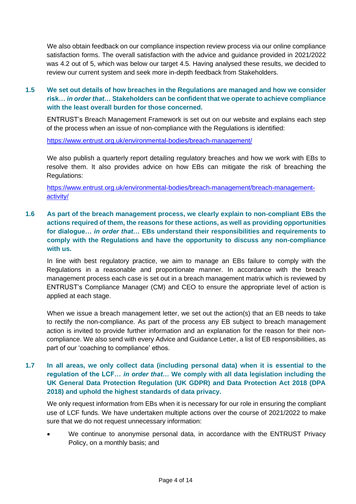We also obtain feedback on our compliance inspection review process via our online compliance satisfaction forms. The overall satisfaction with the advice and guidance provided in 2021/2022 was 4.2 out of 5, which was below our target 4.5. Having analysed these results, we decided to review our current system and seek more in-depth feedback from Stakeholders.

#### **1.5 We set out details of how breaches in the Regulations are managed and how we consider risk…** *in order that…* **Stakeholders can be confident that we operate to achieve compliance with the least overall burden for those concerned.**

ENTRUST's Breach Management Framework is set out on our website and explains each step of the process when an issue of non-compliance with the Regulations is identified:

<https://www.entrust.org.uk/environmental-bodies/breach-management/>

We also publish a quarterly report detailing regulatory breaches and how we work with EBs to resolve them. It also provides advice on how EBs can mitigate the risk of breaching the Regulations:

[https://www.entrust.org.uk/environmental-bodies/breach-management/breach-management](https://www.entrust.org.uk/environmental-bodies/breach-management/breach-management-activity/)[activity/](https://www.entrust.org.uk/environmental-bodies/breach-management/breach-management-activity/)

**1.6 As part of the breach management process, we clearly explain to non-compliant EBs the actions required of them, the reasons for these actions, as well as providing opportunities for dialogue…** *in order that…* **EBs understand their responsibilities and requirements to comply with the Regulations and have the opportunity to discuss any non-compliance with us.**

In line with best regulatory practice, we aim to manage an EBs failure to comply with the Regulations in a reasonable and proportionate manner. In accordance with the breach management process each case is set out in a breach management matrix which is reviewed by ENTRUST's Compliance Manager (CM) and CEO to ensure the appropriate level of action is applied at each stage.

When we issue a breach management letter, we set out the action(s) that an EB needs to take to rectify the non-compliance. As part of the process any EB subject to breach management action is invited to provide further information and an explanation for the reason for their noncompliance. We also send with every Advice and Guidance Letter, a list of EB responsibilities, as part of our 'coaching to compliance' ethos.

#### **1.7 In all areas, we only collect data (including personal data) when it is essential to the regulation of the LCF…** *in order that…* **We comply with all data legislation including the UK General Data Protection Regulation (UK GDPR) and Data Protection Act 2018 (DPA 2018) and uphold the highest standards of data privacy.**

We only request information from EBs when it is necessary for our role in ensuring the compliant use of LCF funds. We have undertaken multiple actions over the course of 2021/2022 to make sure that we do not request unnecessary information:

• We continue to anonymise personal data, in accordance with the ENTRUST Privacy Policy, on a monthly basis; and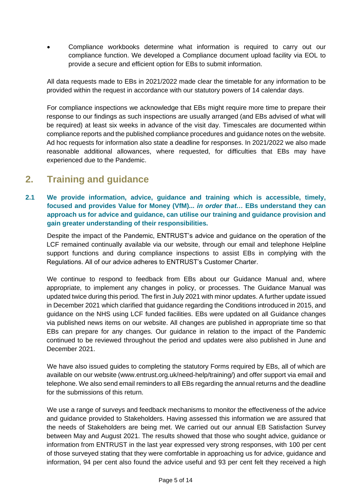• Compliance workbooks determine what information is required to carry out our compliance function. We developed a Compliance document upload facility via EOL to provide a secure and efficient option for EBs to submit information.

All data requests made to EBs in 2021/2022 made clear the timetable for any information to be provided within the request in accordance with our statutory powers of 14 calendar days.

For compliance inspections we acknowledge that EBs might require more time to prepare their response to our findings as such inspections are usually arranged (and EBs advised of what will be required) at least six weeks in advance of the visit day. Timescales are documented within compliance reports and the published compliance procedures and guidance notes on the website. Ad hoc requests for information also state a deadline for responses. In 2021/2022 we also made reasonable additional allowances, where requested, for difficulties that EBs may have experienced due to the Pandemic.

## **2. Training and guidance**

**2.1 We provide information, advice, guidance and training which is accessible, timely, focused and provides Value for Money (VfM)...** *in order that…* **EBs understand they can approach us for advice and guidance, can utilise our training and guidance provision and gain greater understanding of their responsibilities.**

Despite the impact of the Pandemic, ENTRUST's advice and guidance on the operation of the LCF remained continually available via our website, through our email and telephone Helpline support functions and during compliance inspections to assist EBs in complying with the Regulations. All of our advice adheres to ENTRUST's Customer Charter.

We continue to respond to feedback from EBs about our Guidance Manual and, where appropriate, to implement any changes in policy, or processes. The Guidance Manual was updated twice during this period. The first in July 2021 with minor updates. A further update issued in December 2021 which clarified that guidance regarding the Conditions introduced in 2015, and guidance on the NHS using LCF funded facilities. EBs were updated on all Guidance changes via published news items on our website. All changes are published in appropriate time so that EBs can prepare for any changes. Our guidance in relation to the impact of the Pandemic continued to be reviewed throughout the period and updates were also published in June and December 2021.

We have also issued guides to completing the statutory Forms required by EBs, all of which are available on our website (www.entrust.org.uk/need-help/training/) and offer support via email and telephone. We also send email reminders to all EBs regarding the annual returns and the deadline for the submissions of this return.

We use a range of surveys and feedback mechanisms to monitor the effectiveness of the advice and guidance provided to Stakeholders. Having assessed this information we are assured that the needs of Stakeholders are being met. We carried out our annual EB Satisfaction Survey between May and August 2021. The results showed that those who sought advice, guidance or information from ENTRUST in the last year expressed very strong responses, with 100 per cent of those surveyed stating that they were comfortable in approaching us for advice, guidance and information, 94 per cent also found the advice useful and 93 per cent felt they received a high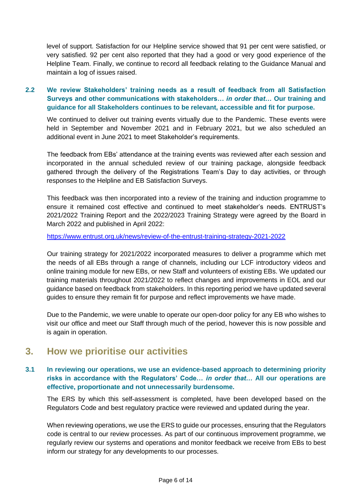level of support. Satisfaction for our Helpline service showed that 91 per cent were satisfied, or very satisfied. 92 per cent also reported that they had a good or very good experience of the Helpline Team. Finally, we continue to record all feedback relating to the Guidance Manual and maintain a log of issues raised.

#### **2.2 We review Stakeholders' training needs as a result of feedback from all Satisfaction Surveys and other communications with stakeholders…** *in order that…* **Our training and guidance for all Stakeholders continues to be relevant, accessible and fit for purpose.**

We continued to deliver out training events virtually due to the Pandemic. These events were held in September and November 2021 and in February 2021, but we also scheduled an additional event in June 2021 to meet Stakeholder's requirements.

The feedback from EBs' attendance at the training events was reviewed after each session and incorporated in the annual scheduled review of our training package, alongside feedback gathered through the delivery of the Registrations Team's Day to day activities, or through responses to the Helpline and EB Satisfaction Surveys.

This feedback was then incorporated into a review of the training and induction programme to ensure it remained cost effective and continued to meet stakeholder's needs. ENTRUST's 2021/2022 Training Report and the 2022/2023 Training Strategy were agreed by the Board in March 2022 and published in April 2022:

<https://www.entrust.org.uk/news/review-of-the-entrust-training-strategy-2021-2022>

Our training strategy for 2021/2022 incorporated measures to deliver a programme which met the needs of all EBs through a range of channels, including our LCF introductory videos and online training module for new EBs, or new Staff and volunteers of existing EBs. We updated our training materials throughout 2021/2022 to reflect changes and improvements in EOL and our guidance based on feedback from stakeholders. In this reporting period we have updated several guides to ensure they remain fit for purpose and reflect improvements we have made.

Due to the Pandemic, we were unable to operate our open-door policy for any EB who wishes to visit our office and meet our Staff through much of the period, however this is now possible and is again in operation.

### **3. How we prioritise our activities**

#### **3.1 In reviewing our operations, we use an evidence-based approach to determining priority risks in accordance with the Regulators' Code…** *in order that…* **All our operations are effective, proportionate and not unnecessarily burdensome.**

The ERS by which this self-assessment is completed, have been developed based on the Regulators Code and best regulatory practice were reviewed and updated during the year.

When reviewing operations, we use the ERS to guide our processes, ensuring that the Regulators code is central to our review processes. As part of our continuous improvement programme, we regularly review our systems and operations and monitor feedback we receive from EBs to best inform our strategy for any developments to our processes.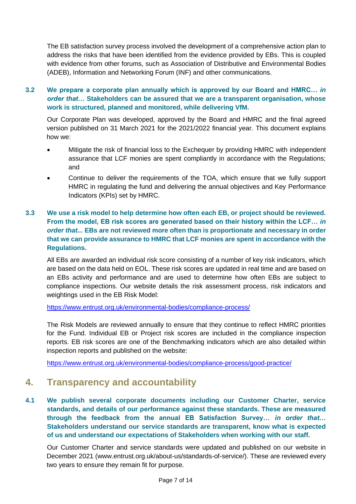The EB satisfaction survey process involved the development of a comprehensive action plan to address the risks that have been identified from the evidence provided by EBs. This is coupled with evidence from other forums, such as Association of Distributive and Environmental Bodies (ADEB), Information and Networking Forum (INF) and other communications.

#### **3.2 We prepare a corporate plan annually which is approved by our Board and HMRC…** *in order that…* **Stakeholders can be assured that we are a transparent organisation, whose work is structured, planned and monitored, while delivering VfM.**

Our Corporate Plan was developed, approved by the Board and HMRC and the final agreed version published on 31 March 2021 for the 2021/2022 financial year. This document explains how we:

- Mitigate the risk of financial loss to the Exchequer by providing HMRC with independent assurance that LCF monies are spent compliantly in accordance with the Regulations; and
- Continue to deliver the requirements of the TOA, which ensure that we fully support HMRC in regulating the fund and delivering the annual objectives and Key Performance Indicators (KPIs) set by HMRC.

#### **3.3 We use a risk model to help determine how often each EB, or project should be reviewed. From the model, EB risk scores are generated based on their history within the LCF…** *in order that...* **EBs are not reviewed more often than is proportionate and necessary in order that we can provide assurance to HMRC that LCF monies are spent in accordance with the Regulations.**

All EBs are awarded an individual risk score consisting of a number of key risk indicators, which are based on the data held on EOL. These risk scores are updated in real time and are based on an EBs activity and performance and are used to determine how often EBs are subject to compliance inspections. Our website details the risk assessment process, risk indicators and weightings used in the EB Risk Model:

<https://www.entrust.org.uk/environmental-bodies/compliance-process/>

The Risk Models are reviewed annually to ensure that they continue to reflect HMRC priorities for the Fund. Individual EB or Project risk scores are included in the compliance inspection reports. EB risk scores are one of the Benchmarking indicators which are also detailed within inspection reports and published on the website:

<https://www.entrust.org.uk/environmental-bodies/compliance-process/good-practice/>

### **4. Transparency and accountability**

**4.1 We publish several corporate documents including our Customer Charter, service standards, and details of our performance against these standards. These are measured through the feedback from the annual EB Satisfaction Survey…** *in order that…* **Stakeholders understand our service standards are transparent, know what is expected of us and understand our expectations of Stakeholders when working with our staff.**

Our Customer Charter and service standards were updated and published on our website in December 2021 (www.entrust.org.uk/about-us/standards-of-service/). These are reviewed every two years to ensure they remain fit for purpose.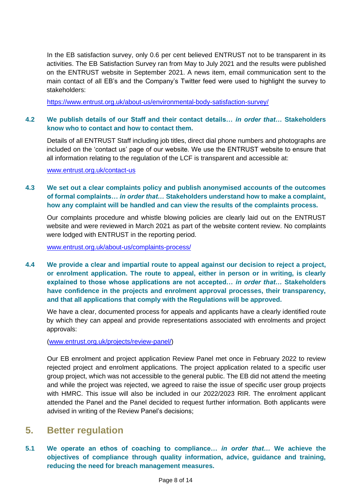In the EB satisfaction survey, only 0.6 per cent believed ENTRUST not to be transparent in its activities. The EB Satisfaction Survey ran from May to July 2021 and the results were published on the ENTRUST website in September 2021. A news item, email communication sent to the main contact of all EB's and the Company's Twitter feed were used to highlight the survey to stakeholders:

<https://www.entrust.org.uk/about-us/environmental-body-satisfaction-survey/>

#### **4.2 We publish details of our Staff and their contact details…** *in order that…* **Stakeholders know who to contact and how to contact them.**

Details of all ENTRUST Staff including job titles, direct dial phone numbers and photographs are included on the 'contact us' page of our website. We use the ENTRUST website to ensure that all information relating to the regulation of the LCF is transparent and accessible at:

#### [www.entrust.org.uk/contact-us](http://www.entrust.org.uk/contact-us)

#### **4.3 We set out a clear complaints policy and publish anonymised accounts of the outcomes of formal complaints…** *in order that…* **Stakeholders understand how to make a complaint, how any complaint will be handled and can view the results of the complaints process.**

Our complaints procedure and whistle blowing policies are clearly laid out on the ENTRUST website and were reviewed in March 2021 as part of the website content review. No complaints were lodged with ENTRUST in the reporting period.

[www.entrust.org.uk/about-us/complaints-process/](http://www.entrust.org.uk/about-us/complaints-process/)

**4.4 We provide a clear and impartial route to appeal against our decision to reject a project, or enrolment application. The route to appeal, either in person or in writing, is clearly explained to those whose applications are not accepted…** *in order that…* **Stakeholders have confidence in the projects and enrolment approval processes, their transparency, and that all applications that comply with the Regulations will be approved.**

We have a clear, documented process for appeals and applicants have a clearly identified route by which they can appeal and provide representations associated with enrolments and project approvals:

[\(www.entrust.org.uk/projects/review-panel/\)](http://www.entrust.org.uk/projects/review-panel/)

Our EB enrolment and project application Review Panel met once in February 2022 to review rejected project and enrolment applications. The project application related to a specific user group project, which was not accessible to the general public. The EB did not attend the meeting and while the project was rejected, we agreed to raise the issue of specific user group projects with HMRC. This issue will also be included in our 2022/2023 RIR. The enrolment applicant attended the Panel and the Panel decided to request further information. Both applicants were advised in writing of the Review Panel's decisions;

### **5. Better regulation**

**5.1 We operate an ethos of coaching to compliance…** *in order that…* **We achieve the objectives of compliance through quality information, advice, guidance and training, reducing the need for breach management measures.**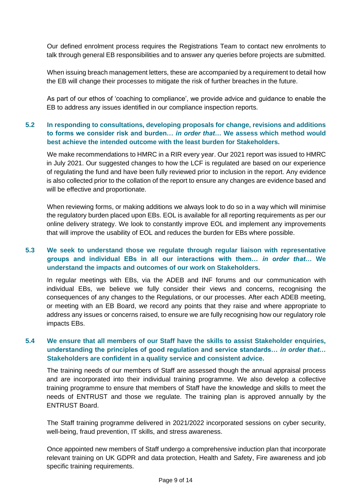Our defined enrolment process requires the Registrations Team to contact new enrolments to talk through general EB responsibilities and to answer any queries before projects are submitted.

When issuing breach management letters, these are accompanied by a requirement to detail how the EB will change their processes to mitigate the risk of further breaches in the future.

As part of our ethos of 'coaching to compliance', we provide advice and guidance to enable the EB to address any issues identified in our compliance inspection reports.

#### **5.2 In responding to consultations, developing proposals for change, revisions and additions to forms we consider risk and burden…** *in order that…* **We assess which method would best achieve the intended outcome with the least burden for Stakeholders.**

We make recommendations to HMRC in a RIR every year. Our 2021 report was issued to HMRC in July 2021. Our suggested changes to how the LCF is regulated are based on our experience of regulating the fund and have been fully reviewed prior to inclusion in the report. Any evidence is also collected prior to the collation of the report to ensure any changes are evidence based and will be effective and proportionate.

When reviewing forms, or making additions we always look to do so in a way which will minimise the regulatory burden placed upon EBs. EOL is available for all reporting requirements as per our online delivery strategy. We look to constantly improve EOL and implement any improvements that will improve the usability of EOL and reduces the burden for EBs where possible.

#### **5.3 We seek to understand those we regulate through regular liaison with representative groups and individual EBs in all our interactions with them…** *in order that…* **We understand the impacts and outcomes of our work on Stakeholders.**

In regular meetings with EBs, via the ADEB and INF forums and our communication with individual EBs, we believe we fully consider their views and concerns, recognising the consequences of any changes to the Regulations, or our processes. After each ADEB meeting, or meeting with an EB Board, we record any points that they raise and where appropriate to address any issues or concerns raised, to ensure we are fully recognising how our regulatory role impacts EBs.

#### **5.4 We ensure that all members of our Staff have the skills to assist Stakeholder enquiries, understanding the principles of good regulation and service standards…** *in order that…* **Stakeholders are confident in a quality service and consistent advice.**

The training needs of our members of Staff are assessed though the annual appraisal process and are incorporated into their individual training programme. We also develop a collective training programme to ensure that members of Staff have the knowledge and skills to meet the needs of ENTRUST and those we regulate. The training plan is approved annually by the ENTRUST Board.

The Staff training programme delivered in 2021/2022 incorporated sessions on cyber security, well-being, fraud prevention, IT skills, and stress awareness.

Once appointed new members of Staff undergo a comprehensive induction plan that incorporate relevant training on UK GDPR and data protection, Health and Safety, Fire awareness and job specific training requirements.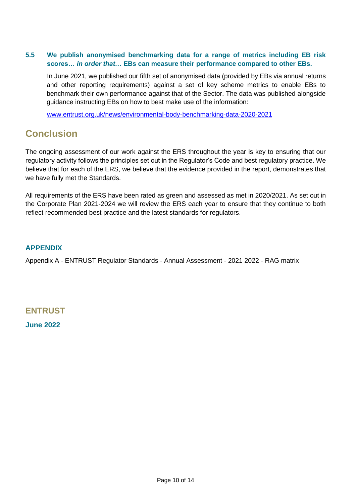#### **5.5 We publish anonymised benchmarking data for a range of metrics including EB risk scores…** *in order that…* **EBs can measure their performance compared to other EBs.**

In June 2021, we published our fifth set of anonymised data (provided by EBs via annual returns and other reporting requirements) against a set of key scheme metrics to enable EBs to benchmark their own performance against that of the Sector. The data was published alongside guidance instructing EBs on how to best make use of the information:

[www.entrust.org.uk/news/environmental-body-benchmarking-data-2020-2021](http://www.entrust.org.uk/news/environmental-body-benchmarking-data-2020-2021)

## **Conclusion**

The ongoing assessment of our work against the ERS throughout the year is key to ensuring that our regulatory activity follows the principles set out in the Regulator's Code and best regulatory practice. We believe that for each of the ERS, we believe that the evidence provided in the report, demonstrates that we have fully met the Standards.

All requirements of the ERS have been rated as green and assessed as met in 2020/2021. As set out in the Corporate Plan 2021-2024 we will review the ERS each year to ensure that they continue to both reflect recommended best practice and the latest standards for regulators.

#### **APPENDIX**

Appendix A - ENTRUST Regulator Standards - Annual Assessment - 2021 2022 - RAG matrix

### **ENTRUST June 2022**

Page 10 of 14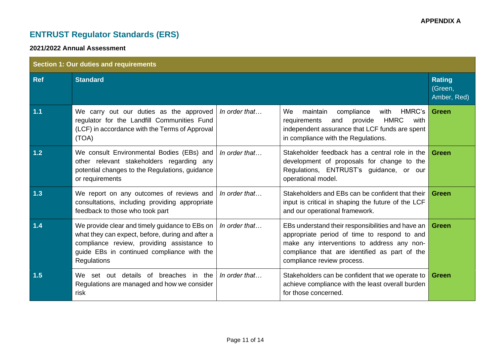# **ENTRUST Regulator Standards (ERS)**

#### **2021/2022 Annual Assessment**

| <b>Section 1: Our duties and requirements</b> |                                                                                                                                                                                                                      |                       |                                                                                                                                                                                                                                |                                         |
|-----------------------------------------------|----------------------------------------------------------------------------------------------------------------------------------------------------------------------------------------------------------------------|-----------------------|--------------------------------------------------------------------------------------------------------------------------------------------------------------------------------------------------------------------------------|-----------------------------------------|
| <b>Ref</b>                                    | <b>Standard</b>                                                                                                                                                                                                      |                       |                                                                                                                                                                                                                                | <b>Rating</b><br>(Green,<br>Amber, Red) |
| $1.1$                                         | We carry out our duties as the approved<br>regulator for the Landfill Communities Fund<br>(LCF) in accordance with the Terms of Approval<br>(TOA)                                                                    | In order that         | We<br>compliance<br>HMRC's<br>maintain<br>with<br>provide<br><b>HMRC</b><br>requirements<br>and<br>with<br>independent assurance that LCF funds are spent<br>in compliance with the Regulations.                               | <b>Green</b>                            |
| 1.2                                           | We consult Environmental Bodies (EBs) and<br>other relevant stakeholders regarding any<br>potential changes to the Regulations, guidance<br>or requirements                                                          | In order that         | Stakeholder feedback has a central role in the<br>development of proposals for change to the<br>Regulations, ENTRUST's guidance, or our<br>operational model.                                                                  | Green                                   |
| $1.3$                                         | We report on any outcomes of reviews and<br>consultations, including providing appropriate<br>feedback to those who took part                                                                                        | In order that         | Stakeholders and EBs can be confident that their<br>input is critical in shaping the future of the LCF<br>and our operational framework.                                                                                       | Green                                   |
| $1.4$                                         | We provide clear and timely guidance to EBs on<br>what they can expect, before, during and after a<br>compliance review, providing assistance to<br>guide EBs in continued compliance with the<br><b>Regulations</b> | In order that         | EBs understand their responsibilities and have an<br>appropriate period of time to respond to and<br>make any interventions to address any non-<br>compliance that are identified as part of the<br>compliance review process. | <b>Green</b>                            |
| 1.5                                           | We set out details of breaches in the<br>Regulations are managed and how we consider<br>risk                                                                                                                         | In order that $\dots$ | Stakeholders can be confident that we operate to<br>achieve compliance with the least overall burden<br>for those concerned.                                                                                                   | <b>Green</b>                            |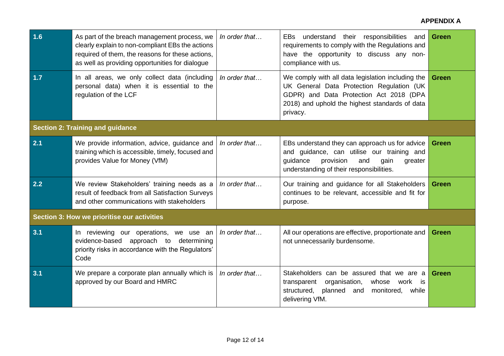| 1.6                                         | As part of the breach management process, we<br>clearly explain to non-compliant EBs the actions<br>required of them, the reasons for these actions,<br>as well as providing opportunities for dialogue | In order that | EBs understand their responsibilities<br>and<br>requirements to comply with the Regulations and<br>have the opportunity to discuss any non-<br>compliance with us.                                      | <b>Green</b> |
|---------------------------------------------|---------------------------------------------------------------------------------------------------------------------------------------------------------------------------------------------------------|---------------|---------------------------------------------------------------------------------------------------------------------------------------------------------------------------------------------------------|--------------|
| 1.7                                         | In all areas, we only collect data (including<br>personal data) when it is essential to the<br>regulation of the LCF                                                                                    | In order that | We comply with all data legislation including the<br>UK General Data Protection Regulation (UK<br>GDPR) and Data Protection Act 2018 (DPA<br>2018) and uphold the highest standards of data<br>privacy. | <b>Green</b> |
| <b>Section 2: Training and guidance</b>     |                                                                                                                                                                                                         |               |                                                                                                                                                                                                         |              |
| 2.1                                         | We provide information, advice, guidance and<br>training which is accessible, timely, focused and<br>provides Value for Money (VfM)                                                                     | In order that | EBs understand they can approach us for advice<br>and guidance, can utilise our training and<br>provision<br>guidance<br>and<br>gain<br>greater<br>understanding of their responsibilities.             | <b>Green</b> |
| 2.2                                         | We review Stakeholders' training needs as a<br>result of feedback from all Satisfaction Surveys<br>and other communications with stakeholders                                                           | In order that | Our training and guidance for all Stakeholders<br>continues to be relevant, accessible and fit for<br>purpose.                                                                                          | <b>Green</b> |
| Section 3: How we prioritise our activities |                                                                                                                                                                                                         |               |                                                                                                                                                                                                         |              |
| 3.1                                         | In reviewing our operations, we use an<br>evidence-based approach to determining<br>priority risks in accordance with the Regulators'<br>Code                                                           | In order that | All our operations are effective, proportionate and<br>not unnecessarily burdensome.                                                                                                                    | <b>Green</b> |
| 3.1                                         | We prepare a corporate plan annually which is<br>approved by our Board and HMRC                                                                                                                         | In order that | Stakeholders can be assured that we are a<br>organisation,<br>transparent<br>whose work<br><b>is</b><br>structured,<br>planned<br>and<br>monitored,<br>while<br>delivering VfM.                         | <b>Green</b> |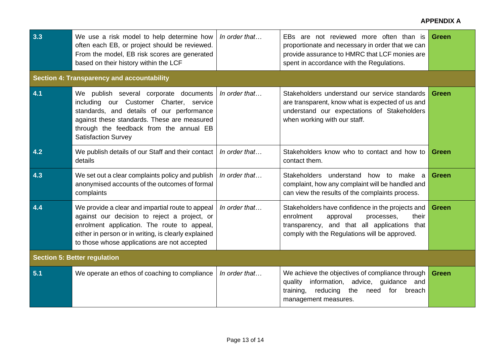#### **APPENDIX A**

| 3.3                                               | We use a risk model to help determine how<br>often each EB, or project should be reviewed.<br>From the model, EB risk scores are generated<br>based on their history within the LCF                                                                     | In order that | EBs are not reviewed more often than is<br>proportionate and necessary in order that we can<br>provide assurance to HMRC that LCF monies are<br>spent in accordance with the Regulations.         | <b>Green</b> |
|---------------------------------------------------|---------------------------------------------------------------------------------------------------------------------------------------------------------------------------------------------------------------------------------------------------------|---------------|---------------------------------------------------------------------------------------------------------------------------------------------------------------------------------------------------|--------------|
| <b>Section 4: Transparency and accountability</b> |                                                                                                                                                                                                                                                         |               |                                                                                                                                                                                                   |              |
| 4.1                                               | We publish several corporate documents<br>including our Customer Charter, service<br>standards, and details of our performance<br>against these standards. These are measured<br>through the feedback from the annual EB<br><b>Satisfaction Survey</b>  | In order that | Stakeholders understand our service standards<br>are transparent, know what is expected of us and<br>understand our expectations of Stakeholders<br>when working with our staff.                  | <b>Green</b> |
| 4.2                                               | We publish details of our Staff and their contact<br>details                                                                                                                                                                                            | In order that | Stakeholders know who to contact and how to<br>contact them.                                                                                                                                      | <b>Green</b> |
| 4.3                                               | We set out a clear complaints policy and publish<br>anonymised accounts of the outcomes of formal<br>complaints                                                                                                                                         | In order that | Stakeholders understand<br>how to make a<br>complaint, how any complaint will be handled and<br>can view the results of the complaints process.                                                   | Green        |
| 4.4                                               | We provide a clear and impartial route to appeal<br>against our decision to reject a project, or<br>enrolment application. The route to appeal,<br>either in person or in writing, is clearly explained<br>to those whose applications are not accepted | In order that | Stakeholders have confidence in the projects and<br>enrolment<br>approval<br>processes,<br>their<br>transparency, and that all applications that<br>comply with the Regulations will be approved. | <b>Green</b> |
| <b>Section 5: Better regulation</b>               |                                                                                                                                                                                                                                                         |               |                                                                                                                                                                                                   |              |
| 5.1                                               | We operate an ethos of coaching to compliance                                                                                                                                                                                                           | In order that | We achieve the objectives of compliance through<br>information, advice, guidance and<br>quality<br>the<br>training,<br>reducing<br>for<br>breach<br>need<br>management measures.                  | <b>Green</b> |